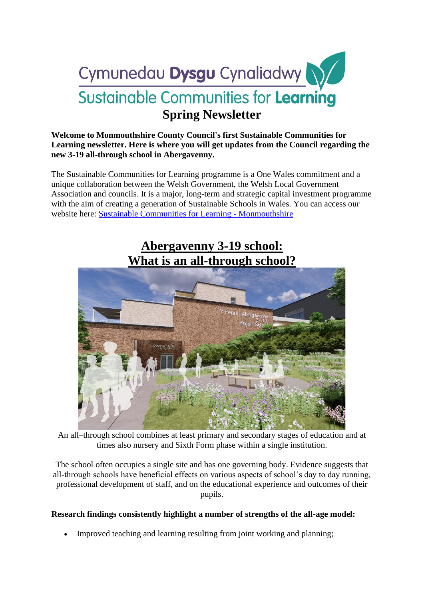

#### **Welcome to Monmouthshire County Council's first Sustainable Communities for Learning newsletter. Here is where you will get updates from the Council regarding the new 3-19 all-through school in Abergavenny.**

The Sustainable Communities for Learning programme is a One Wales commitment and a unique collaboration between the Welsh Government, the Welsh Local Government Association and councils. It is a major, long-term and strategic capital investment programme with the aim of creating a generation of Sustainable Schools in Wales. You can access our website here: [Sustainable Communities for Learning -](https://www.monmouthshire.gov.uk/sustainable-communities-for-learning/) Monmouthshire

## **Abergavenny 3-19 school: What is an all-through school?**



An all–through school combines at least primary and secondary stages of education and at times also nursery and Sixth Form phase within a single institution.

The school often occupies a single site and has one governing body. Evidence suggests that all-through schools have beneficial effects on various aspects of school's day to day running, professional development of staff, and on the educational experience and outcomes of their pupils.

#### **Research findings consistently highlight a number of strengths of the all-age model:**

Improved teaching and learning resulting from joint working and planning;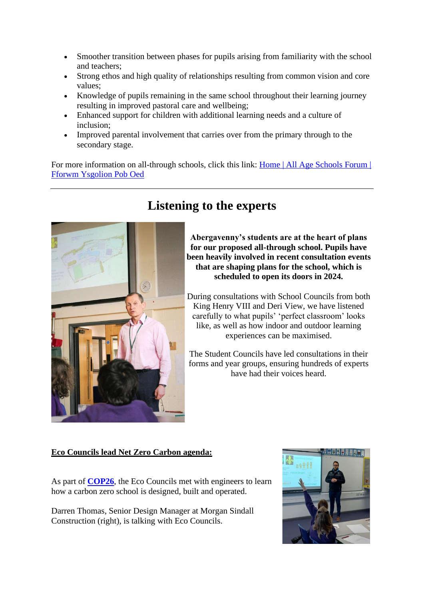- Smoother transition between phases for pupils arising from familiarity with the school and teachers;
- Strong ethos and high quality of relationships resulting from common vision and core values;
- Knowledge of pupils remaining in the same school throughout their learning journey resulting in improved pastoral care and wellbeing;
- Enhanced support for children with additional learning needs and a culture of inclusion;
- Improved parental involvement that carries over from the primary through to the secondary stage.

For more information on all-through schools, click this link: Home | All Age Schools Forum | [Fforwm Ysgolion Pob Oed](https://allageschoolsforum.cymru/home/)



# **Listening to the experts**

**Abergavenny's students are at the heart of plans for our proposed all-through school. Pupils have been heavily involved in recent consultation events that are shaping plans for the school, which is scheduled to open its doors in 2024.**

During consultations with School Councils from both King Henry VIII and Deri View, we have listened carefully to what pupils' 'perfect classroom' looks like, as well as how indoor and outdoor learning experiences can be maximised.

The Student Councils have led consultations in their forms and year groups, ensuring hundreds of experts have had their voices heard.

#### **Eco Councils lead Net Zero Carbon agenda:**

As part of **[COP26](https://ukcop26.org/)**, the Eco Councils met with engineers to learn how a carbon zero school is designed, built and operated.

Darren Thomas, Senior Design Manager at Morgan Sindall Construction (right), is talking with Eco Councils.

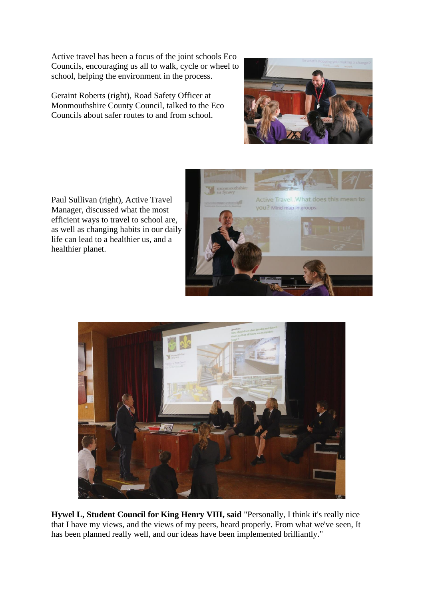Active travel has been a focus of the joint schools Eco Councils, encouraging us all to walk, cycle or wheel to school, helping the environment in the process.

Geraint Roberts (right), Road Safety Officer at Monmouthshire County Council, talked to the Eco Councils about safer routes to and from school.



Paul Sullivan (right), Active Travel Manager, discussed what the most efficient ways to travel to school are, as well as changing habits in our daily life can lead to a healthier us, and a healthier planet.





**Hywel L, Student Council for King Henry VIII, said** "Personally, I think it's really nice that I have my views, and the views of my peers, heard properly. From what we've seen, It has been planned really well, and our ideas have been implemented brilliantly."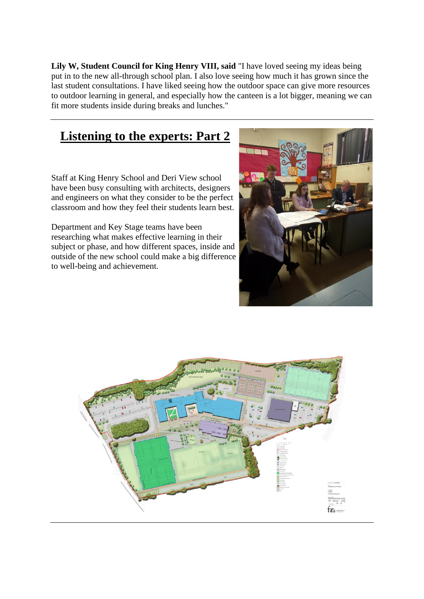**Lily W, Student Council for King Henry VIII, said** "I have loved seeing my ideas being put in to the new all-through school plan. I also love seeing how much it has grown since the last student consultations. I have liked seeing how the outdoor space can give more resources to outdoor learning in general, and especially how the canteen is a lot bigger, meaning we can fit more students inside during breaks and lunches."

## **Listening to the experts: Part 2**

Staff at King Henry School and Deri View school have been busy consulting with architects, designers and engineers on what they consider to be the perfect classroom and how they feel their students learn best.

Department and Key Stage teams have been researching what makes effective learning in their subject or phase, and how different spaces, inside and outside of the new school could make a big difference to well-being and achievement.



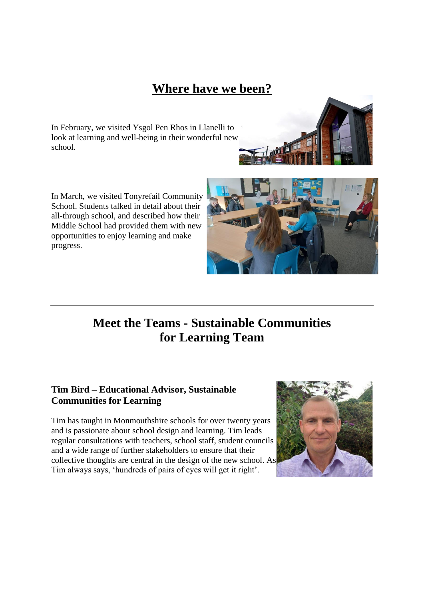## **Where have we been?**

In February, we visited Ysgol Pen Rhos in Llanelli to look at learning and well-being in their wonderful new school.



In March, we visited Tonyrefail Community School. Students talked in detail about their all-through school, and described how their Middle School had provided them with new opportunities to enjoy learning and make progress.



## **Meet the Teams - Sustainable Communities for Learning Team**

#### **Tim Bird – Educational Advisor, Sustainable Communities for Learning**

Tim has taught in Monmouthshire schools for over twenty years and is passionate about school design and learning. Tim leads regular consultations with teachers, school staff, student councils and a wide range of further stakeholders to ensure that their collective thoughts are central in the design of the new school. As Tim always says, 'hundreds of pairs of eyes will get it right'.

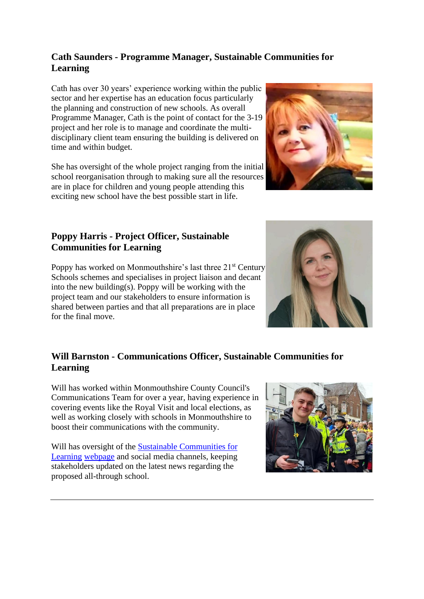### **Cath Saunders - Programme Manager, Sustainable Communities for Learning**

Cath has over 30 years' experience working within the public sector and her expertise has an education focus particularly the planning and construction of new schools. As overall Programme Manager, Cath is the point of contact for the 3-19 project and her role is to manage and coordinate the multidisciplinary client team ensuring the building is delivered on time and within budget.

She has oversight of the whole project ranging from the initial school reorganisation through to making sure all the resources are in place for children and young people attending this exciting new school have the best possible start in life.

### **Poppy Harris - Project Officer, Sustainable Communities for Learning**

Poppy has worked on Monmouthshire's last three 21<sup>st</sup> Century Schools schemes and specialises in project liaison and decant into the new building(s). Poppy will be working with the project team and our stakeholders to ensure information is shared between parties and that all preparations are in place for the final move.

## **Will Barnston - Communications Officer, Sustainable Communities for Learning**

Will has worked within Monmouthshire County Council's Communications Team for over a year, having experience in covering events like the Royal Visit and local elections, as well as working closely with schools in Monmouthshire to boost their communications with the community.

Will has oversight of the [Sustainable Communities for](https://www.monmouthshire.gov.uk/sustainable-communities-for-learning/)  [Learning](https://www.monmouthshire.gov.uk/sustainable-communities-for-learning/) [webpage](http://https/www.monmouthshire.gov.uk/sustainable-communities-for-learning/) and social media channels, keeping stakeholders updated on the latest news regarding the proposed all-through school.





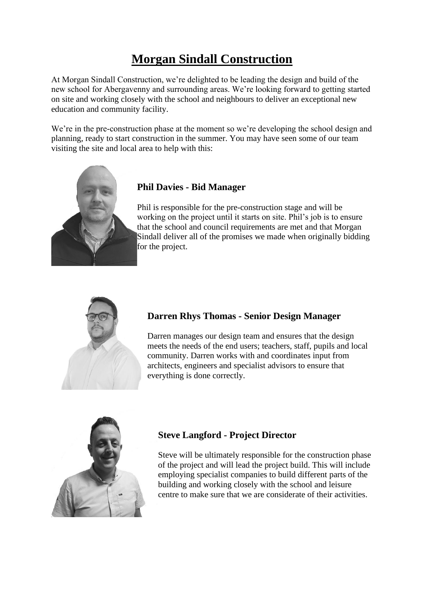# **Morgan Sindall Construction**

At Morgan Sindall Construction, we're delighted to be leading the design and build of the new school for Abergavenny and surrounding areas. We're looking forward to getting started on site and working closely with the school and neighbours to deliver an exceptional new education and community facility.

We're in the pre-construction phase at the moment so we're developing the school design and planning, ready to start construction in the summer. You may have seen some of our team visiting the site and local area to help with this:



#### **Phil Davies - Bid Manager**

Phil is responsible for the pre-construction stage and will be working on the project until it starts on site. Phil's job is to ensure that the school and council requirements are met and that Morgan Sindall deliver all of the promises we made when originally bidding for the project.



### **Darren Rhys Thomas - Senior Design Manager**

Darren manages our design team and ensures that the design meets the needs of the end users; teachers, staff, pupils and local community. Darren works with and coordinates input from architects, engineers and specialist advisors to ensure that everything is done correctly.



### **Steve Langford - Project Director**

Steve will be ultimately responsible for the construction phase of the project and will lead the project build. This will include employing specialist companies to build different parts of the building and working closely with the school and leisure centre to make sure that we are considerate of their activities.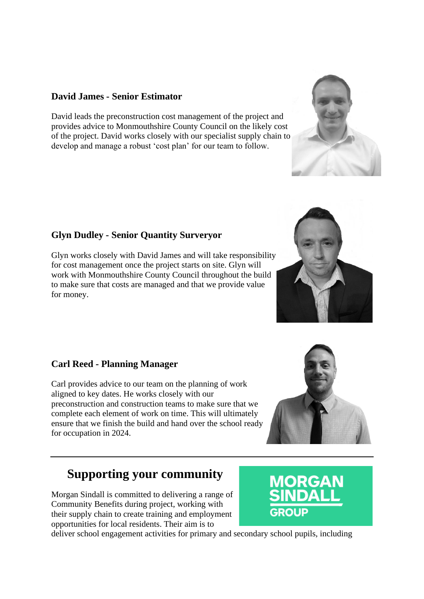#### **David James - Senior Estimator**

David leads the preconstruction cost management of the project and provides advice to Monmouthshire County Council on the likely cost of the project. David works closely with our specialist supply chain to develop and manage a robust 'cost plan' for our team to follow.

### **Glyn Dudley - Senior Quantity Surveryor**

Glyn works closely with David James and will take responsibility for cost management once the project starts on site. Glyn will work with Monmouthshire County Council throughout the build to make sure that costs are managed and that we provide value for money.

## **Carl Reed - Planning Manager**

Carl provides advice to our team on the planning of work aligned to key dates. He works closely with our preconstruction and construction teams to make sure that we complete each element of work on time. This will ultimately ensure that we finish the build and hand over the school ready for occupation in 2024.

# **Supporting your community**

Morgan Sindall is committed to delivering a range of Community Benefits during project, working with their supply chain to create training and employment opportunities for local residents. Their aim is to

deliver school engagement activities for primary and secondary school pupils, including